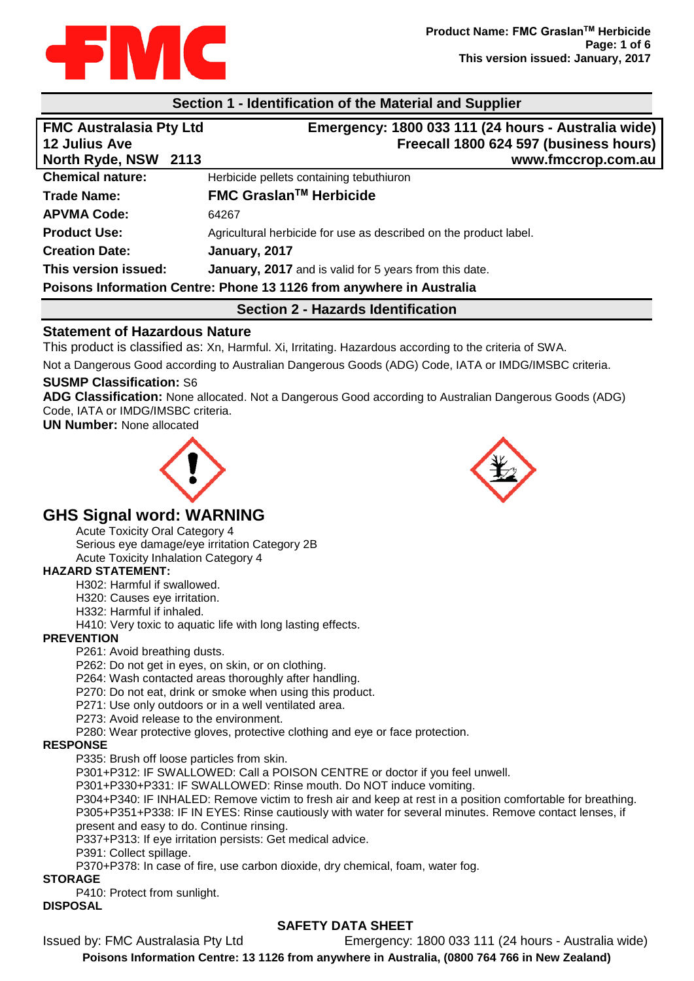

### **Section 1 - Identification of the Material and Supplier**

| <b>FMC Australasia Pty Ltd</b>                                       | Emergency: 1800 033 111 (24 hours - Australia wide)               |  |
|----------------------------------------------------------------------|-------------------------------------------------------------------|--|
| <b>12 Julius Ave</b>                                                 | Freecall 1800 624 597 (business hours)                            |  |
| <b>North Ryde, NSW</b><br>2113                                       | www.fmccrop.com.au                                                |  |
| <b>Chemical nature:</b>                                              | Herbicide pellets containing tebuthiuron                          |  |
| <b>Trade Name:</b>                                                   | <b>FMC Graslan™ Herbicide</b>                                     |  |
| <b>APVMA Code:</b>                                                   | 64267                                                             |  |
| <b>Product Use:</b>                                                  | Agricultural herbicide for use as described on the product label. |  |
| <b>Creation Date:</b>                                                | January, 2017                                                     |  |
| This version issued:                                                 | January, 2017 and is valid for 5 years from this date.            |  |
| Poisons Information Centre: Phone 13 1126 from anywhere in Australia |                                                                   |  |
|                                                                      |                                                                   |  |

#### **Section 2 - Hazards Identification**

## **Statement of Hazardous Nature**

This product is classified as: Xn, Harmful. Xi, Irritating. Hazardous according to the criteria of SWA.

Not a Dangerous Good according to Australian Dangerous Goods (ADG) Code, IATA or IMDG/IMSBC criteria.

#### **SUSMP Classification:** S6

**ADG Classification:** None allocated. Not a Dangerous Good according to Australian Dangerous Goods (ADG) Code, IATA or IMDG/IMSBC criteria.

**UN Number:** None allocated





## **GHS Signal word: WARNING**

Acute Toxicity Oral Category 4

Serious eye damage/eye irritation Category 2B Acute Toxicity Inhalation Category 4

#### **HAZARD STATEMENT:**

H302: Harmful if swallowed.

H320: Causes eye irritation.

H332: Harmful if inhaled.

H410: Very toxic to aquatic life with long lasting effects.

#### **PREVENTION**

P261: Avoid breathing dusts.

P262: Do not get in eyes, on skin, or on clothing.

P264: Wash contacted areas thoroughly after handling.

P270: Do not eat, drink or smoke when using this product.

P271: Use only outdoors or in a well ventilated area.

P273: Avoid release to the environment.

P280: Wear protective gloves, protective clothing and eye or face protection.

#### **RESPONSE**

P335: Brush off loose particles from skin.

P301+P312: IF SWALLOWED: Call a POISON CENTRE or doctor if you feel unwell.

P301+P330+P331: IF SWALLOWED: Rinse mouth. Do NOT induce vomiting.

P304+P340: IF INHALED: Remove victim to fresh air and keep at rest in a position comfortable for breathing. P305+P351+P338: IF IN EYES: Rinse cautiously with water for several minutes. Remove contact lenses, if present and easy to do. Continue rinsing.

P337+P313: If eye irritation persists: Get medical advice.

P391: Collect spillage.

P370+P378: In case of fire, use carbon dioxide, dry chemical, foam, water fog.

#### **STORAGE**

P410: Protect from sunlight.

### **DISPOSAL**

## **SAFETY DATA SHEET**

Issued by: FMC Australasia Pty Ltd Emergency: 1800 033 111 (24 hours - Australia wide)

**Poisons Information Centre: 13 1126 from anywhere in Australia, (0800 764 766 in New Zealand)**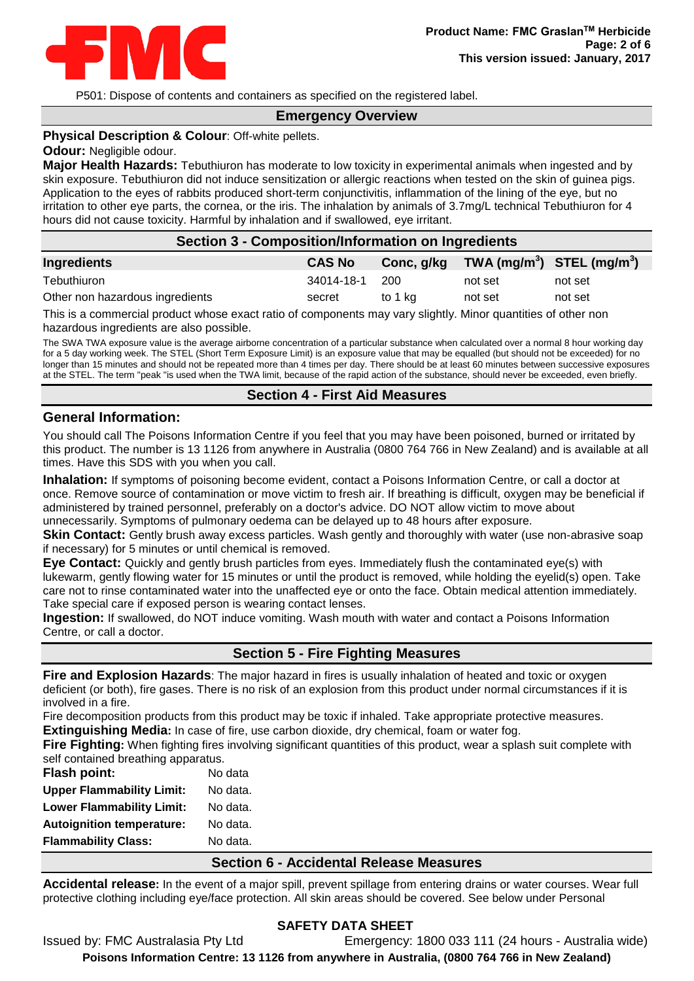

P501: Dispose of contents and containers as specified on the registered label.

## **Emergency Overview**

#### **Physical Description & Colour**: Off-white pellets.

#### **Odour:** Negligible odour.

**Major Health Hazards:** Tebuthiuron has moderate to low toxicity in experimental animals when ingested and by skin exposure. Tebuthiuron did not induce sensitization or allergic reactions when tested on the skin of guinea pigs. Application to the eyes of rabbits produced short-term conjunctivitis, inflammation of the lining of the eye, but no irritation to other eye parts, the cornea, or the iris. The inhalation by animals of 3.7mg/L technical Tebuthiuron for 4 hours did not cause toxicity. Harmful by inhalation and if swallowed, eye irritant.

#### **Section 3 - Composition/Information on Ingredients**

| Ingredients                     | <b>CAS No</b> | Conc, g/kg | TWA (mg/m <sup>3</sup> ) STEL (mg/m <sup>3</sup> ) |         |
|---------------------------------|---------------|------------|----------------------------------------------------|---------|
| Tebuthiuron                     | 34014-18-1    | -200       | not set                                            | not set |
| Other non hazardous ingredients | secret        | to 1 ka    | not set                                            | not set |
| _____                           |               |            |                                                    |         |

This is a commercial product whose exact ratio of components may vary slightly. Minor quantities of other non hazardous ingredients are also possible.

The SWA TWA exposure value is the average airborne concentration of a particular substance when calculated over a normal 8 hour working day for a 5 day working week. The STEL (Short Term Exposure Limit) is an exposure value that may be equalled (but should not be exceeded) for no longer than 15 minutes and should not be repeated more than 4 times per day. There should be at least 60 minutes between successive exposures at the STEL. The term "peak "is used when the TWA limit, because of the rapid action of the substance, should never be exceeded, even briefly.

#### **Section 4 - First Aid Measures**

#### **General Information:**

You should call The Poisons Information Centre if you feel that you may have been poisoned, burned or irritated by this product. The number is 13 1126 from anywhere in Australia (0800 764 766 in New Zealand) and is available at all times. Have this SDS with you when you call.

**Inhalation:** If symptoms of poisoning become evident, contact a Poisons Information Centre, or call a doctor at once. Remove source of contamination or move victim to fresh air. If breathing is difficult, oxygen may be beneficial if administered by trained personnel, preferably on a doctor's advice. DO NOT allow victim to move about unnecessarily. Symptoms of pulmonary oedema can be delayed up to 48 hours after exposure.

**Skin Contact:** Gently brush away excess particles. Wash gently and thoroughly with water (use non-abrasive soap if necessary) for 5 minutes or until chemical is removed.

**Eye Contact:** Quickly and gently brush particles from eyes. Immediately flush the contaminated eye(s) with lukewarm, gently flowing water for 15 minutes or until the product is removed, while holding the eyelid(s) open. Take care not to rinse contaminated water into the unaffected eye or onto the face. Obtain medical attention immediately. Take special care if exposed person is wearing contact lenses.

**Ingestion:** If swallowed, do NOT induce vomiting. Wash mouth with water and contact a Poisons Information Centre, or call a doctor.

## **Section 5 - Fire Fighting Measures**

**Fire and Explosion Hazards**: The major hazard in fires is usually inhalation of heated and toxic or oxygen deficient (or both), fire gases. There is no risk of an explosion from this product under normal circumstances if it is involved in a fire.

Fire decomposition products from this product may be toxic if inhaled. Take appropriate protective measures. **Extinguishing Media:** In case of fire, use carbon dioxide, dry chemical, foam or water fog.

**Fire Fighting:** When fighting fires involving significant quantities of this product, wear a splash suit complete with self contained breathing apparatus.

| <b>Flash point:</b>              | No data  |
|----------------------------------|----------|
| <b>Upper Flammability Limit:</b> | No data. |
| <b>Lower Flammability Limit:</b> | No data. |
| <b>Autoignition temperature:</b> | No data. |
| <b>Flammability Class:</b>       | No data. |

#### **Section 6 - Accidental Release Measures**

**Accidental release:** In the event of a major spill, prevent spillage from entering drains or water courses. Wear full protective clothing including eye/face protection. All skin areas should be covered. See below under Personal

# Issued by: FMC Australasia Pty Ltd Emergency: 1800 033 111 (24 hours - Australia wide) **Poisons Information Centre: 13 1126 from anywhere in Australia, (0800 764 766 in New Zealand)**

#### **SAFETY DATA SHEET**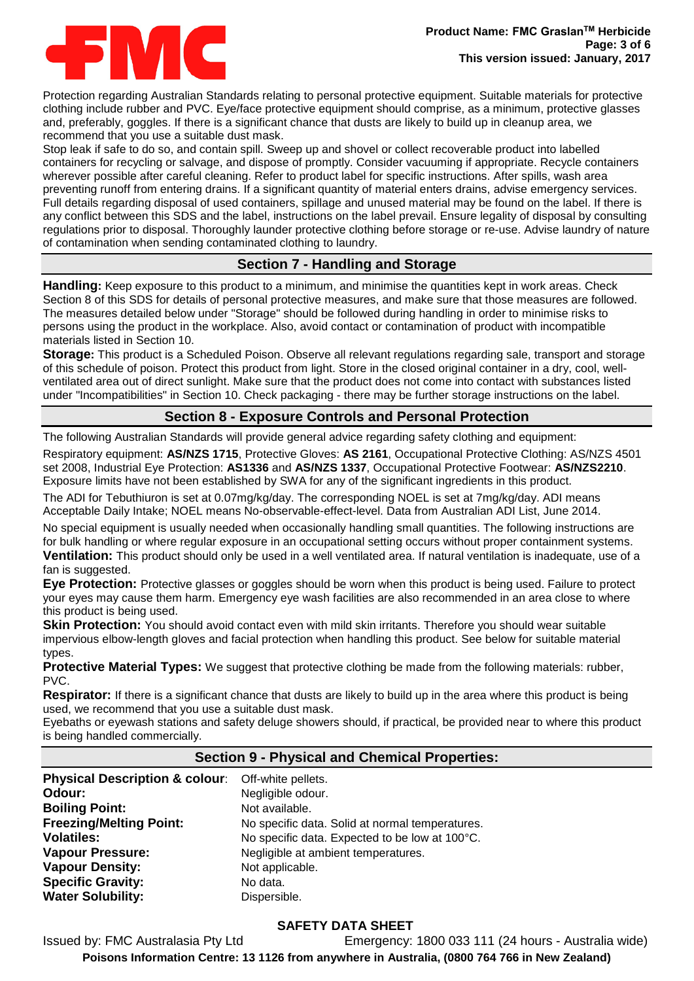

Protection regarding Australian Standards relating to personal protective equipment. Suitable materials for protective clothing include rubber and PVC. Eye/face protective equipment should comprise, as a minimum, protective glasses and, preferably, goggles. If there is a significant chance that dusts are likely to build up in cleanup area, we recommend that you use a suitable dust mask.

Stop leak if safe to do so, and contain spill. Sweep up and shovel or collect recoverable product into labelled containers for recycling or salvage, and dispose of promptly. Consider vacuuming if appropriate. Recycle containers wherever possible after careful cleaning. Refer to product label for specific instructions. After spills, wash area preventing runoff from entering drains. If a significant quantity of material enters drains, advise emergency services. Full details regarding disposal of used containers, spillage and unused material may be found on the label. If there is any conflict between this SDS and the label, instructions on the label prevail. Ensure legality of disposal by consulting regulations prior to disposal. Thoroughly launder protective clothing before storage or re-use. Advise laundry of nature of contamination when sending contaminated clothing to laundry.

## **Section 7 - Handling and Storage**

**Handling:** Keep exposure to this product to a minimum, and minimise the quantities kept in work areas. Check Section 8 of this SDS for details of personal protective measures, and make sure that those measures are followed. The measures detailed below under "Storage" should be followed during handling in order to minimise risks to persons using the product in the workplace. Also, avoid contact or contamination of product with incompatible materials listed in Section 10.

**Storage:** This product is a Scheduled Poison. Observe all relevant regulations regarding sale, transport and storage of this schedule of poison. Protect this product from light. Store in the closed original container in a dry, cool, wellventilated area out of direct sunlight. Make sure that the product does not come into contact with substances listed under "Incompatibilities" in Section 10. Check packaging - there may be further storage instructions on the label.

# **Section 8 - Exposure Controls and Personal Protection**

The following Australian Standards will provide general advice regarding safety clothing and equipment:

Respiratory equipment: **AS/NZS 1715**, Protective Gloves: **AS 2161**, Occupational Protective Clothing: AS/NZS 4501 set 2008, Industrial Eye Protection: **AS1336** and **AS/NZS 1337**, Occupational Protective Footwear: **AS/NZS2210**. Exposure limits have not been established by SWA for any of the significant ingredients in this product.

The ADI for Tebuthiuron is set at 0.07mg/kg/day. The corresponding NOEL is set at 7mg/kg/day. ADI means Acceptable Daily Intake; NOEL means No-observable-effect-level. Data from Australian ADI List, June 2014.

No special equipment is usually needed when occasionally handling small quantities. The following instructions are for bulk handling or where regular exposure in an occupational setting occurs without proper containment systems.

**Ventilation:** This product should only be used in a well ventilated area. If natural ventilation is inadequate, use of a fan is suggested.

**Eye Protection:** Protective glasses or goggles should be worn when this product is being used. Failure to protect your eyes may cause them harm. Emergency eye wash facilities are also recommended in an area close to where this product is being used.

**Skin Protection:** You should avoid contact even with mild skin irritants. Therefore you should wear suitable impervious elbow-length gloves and facial protection when handling this product. See below for suitable material types.

**Protective Material Types:** We suggest that protective clothing be made from the following materials: rubber, PVC.

**Respirator:** If there is a significant chance that dusts are likely to build up in the area where this product is being used, we recommend that you use a suitable dust mask.

Eyebaths or eyewash stations and safety deluge showers should, if practical, be provided near to where this product is being handled commercially.

## **Section 9 - Physical and Chemical Properties:**

| Physical Description & colour: Off-white pellets. |                                                 |
|---------------------------------------------------|-------------------------------------------------|
| Odour:                                            | Negligible odour.                               |
| <b>Boiling Point:</b>                             | Not available.                                  |
| <b>Freezing/Melting Point:</b>                    | No specific data. Solid at normal temperatures. |
| <b>Volatiles:</b>                                 | No specific data. Expected to be low at 100°C.  |
| <b>Vapour Pressure:</b>                           | Negligible at ambient temperatures.             |
| <b>Vapour Density:</b>                            | Not applicable.                                 |
| <b>Specific Gravity:</b>                          | No data.                                        |
| <b>Water Solubility:</b>                          | Dispersible.                                    |

## **SAFETY DATA SHEET**

Issued by: FMC Australasia Pty Ltd Emergency: 1800 033 111 (24 hours - Australia wide) **Poisons Information Centre: 13 1126 from anywhere in Australia, (0800 764 766 in New Zealand)**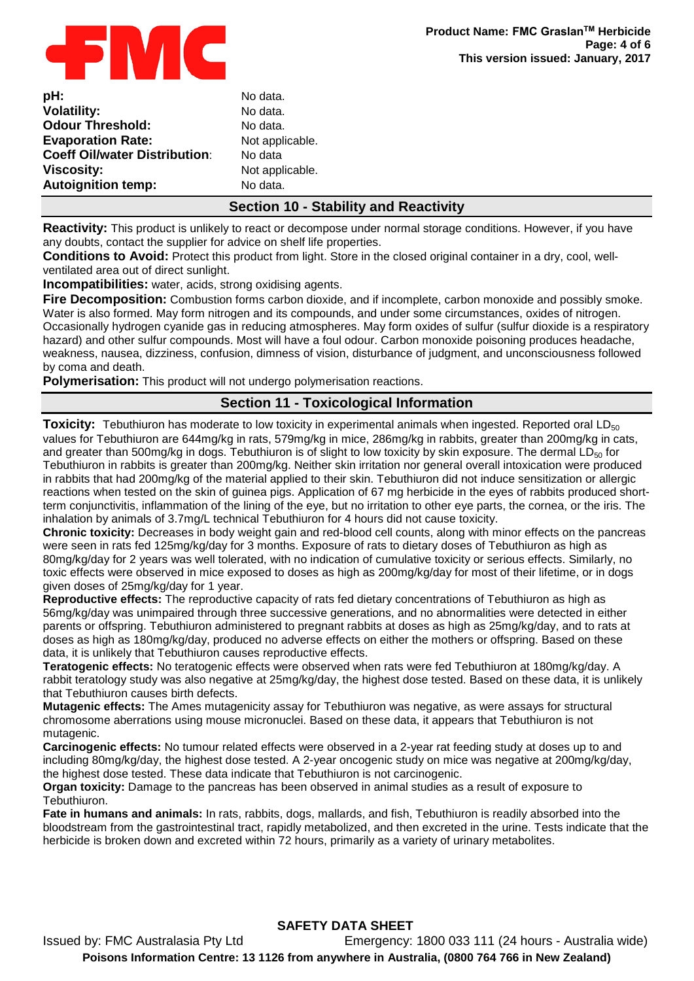

| pH:                                  |  |
|--------------------------------------|--|
| <b>Volatility:</b>                   |  |
| <b>Odour Threshold:</b>              |  |
| <b>Evaporation Rate:</b>             |  |
| <b>Coeff Oil/water Distribution:</b> |  |
| <b>Viscosity:</b>                    |  |
| <b>Autoignition temp:</b>            |  |

No data. No data. No data. Not applicable. **No data** Not applicable. **No data.** 

## **Section 10 - Stability and Reactivity**

**Reactivity:** This product is unlikely to react or decompose under normal storage conditions. However, if you have any doubts, contact the supplier for advice on shelf life properties.

**Conditions to Avoid:** Protect this product from light. Store in the closed original container in a dry, cool, wellventilated area out of direct sunlight.

**Incompatibilities:** water, acids, strong oxidising agents.

**Fire Decomposition:** Combustion forms carbon dioxide, and if incomplete, carbon monoxide and possibly smoke. Water is also formed. May form nitrogen and its compounds, and under some circumstances, oxides of nitrogen. Occasionally hydrogen cyanide gas in reducing atmospheres. May form oxides of sulfur (sulfur dioxide is a respiratory hazard) and other sulfur compounds. Most will have a foul odour. Carbon monoxide poisoning produces headache, weakness, nausea, dizziness, confusion, dimness of vision, disturbance of judgment, and unconsciousness followed by coma and death.

**Polymerisation:** This product will not undergo polymerisation reactions.

## **Section 11 - Toxicological Information**

**Toxicity:** Tebuthiuron has moderate to low toxicity in experimental animals when ingested. Reported oral LD<sub>50</sub> values for Tebuthiuron are 644mg/kg in rats, 579mg/kg in mice, 286mg/kg in rabbits, greater than 200mg/kg in cats, and greater than 500mg/kg in dogs. Tebuthiuron is of slight to low toxicity by skin exposure. The dermal  $LD_{50}$  for Tebuthiuron in rabbits is greater than 200mg/kg. Neither skin irritation nor general overall intoxication were produced in rabbits that had 200mg/kg of the material applied to their skin. Tebuthiuron did not induce sensitization or allergic reactions when tested on the skin of guinea pigs. Application of 67 mg herbicide in the eyes of rabbits produced shortterm conjunctivitis, inflammation of the lining of the eye, but no irritation to other eye parts, the cornea, or the iris. The inhalation by animals of 3.7mg/L technical Tebuthiuron for 4 hours did not cause toxicity.

**Chronic toxicity:** Decreases in body weight gain and red-blood cell counts, along with minor effects on the pancreas were seen in rats fed 125mg/kg/day for 3 months. Exposure of rats to dietary doses of Tebuthiuron as high as 80mg/kg/day for 2 years was well tolerated, with no indication of cumulative toxicity or serious effects. Similarly, no toxic effects were observed in mice exposed to doses as high as 200mg/kg/day for most of their lifetime, or in dogs given doses of 25mg/kg/day for 1 year.

**Reproductive effects:** The reproductive capacity of rats fed dietary concentrations of Tebuthiuron as high as 56mg/kg/day was unimpaired through three successive generations, and no abnormalities were detected in either parents or offspring. Tebuthiuron administered to pregnant rabbits at doses as high as 25mg/kg/day, and to rats at doses as high as 180mg/kg/day, produced no adverse effects on either the mothers or offspring. Based on these data, it is unlikely that Tebuthiuron causes reproductive effects.

**Teratogenic effects:** No teratogenic effects were observed when rats were fed Tebuthiuron at 180mg/kg/day. A rabbit teratology study was also negative at 25mg/kg/day, the highest dose tested. Based on these data, it is unlikely that Tebuthiuron causes birth defects.

**Mutagenic effects:** The Ames mutagenicity assay for Tebuthiuron was negative, as were assays for structural chromosome aberrations using mouse micronuclei. Based on these data, it appears that Tebuthiuron is not mutagenic.

**Carcinogenic effects:** No tumour related effects were observed in a 2-year rat feeding study at doses up to and including 80mg/kg/day, the highest dose tested. A 2-year oncogenic study on mice was negative at 200mg/kg/day, the highest dose tested. These data indicate that Tebuthiuron is not carcinogenic.

**Organ toxicity:** Damage to the pancreas has been observed in animal studies as a result of exposure to Tebuthiuron.

**Fate in humans and animals:** In rats, rabbits, dogs, mallards, and fish, Tebuthiuron is readily absorbed into the bloodstream from the gastrointestinal tract, rapidly metabolized, and then excreted in the urine. Tests indicate that the herbicide is broken down and excreted within 72 hours, primarily as a variety of urinary metabolites.

## **SAFETY DATA SHEET**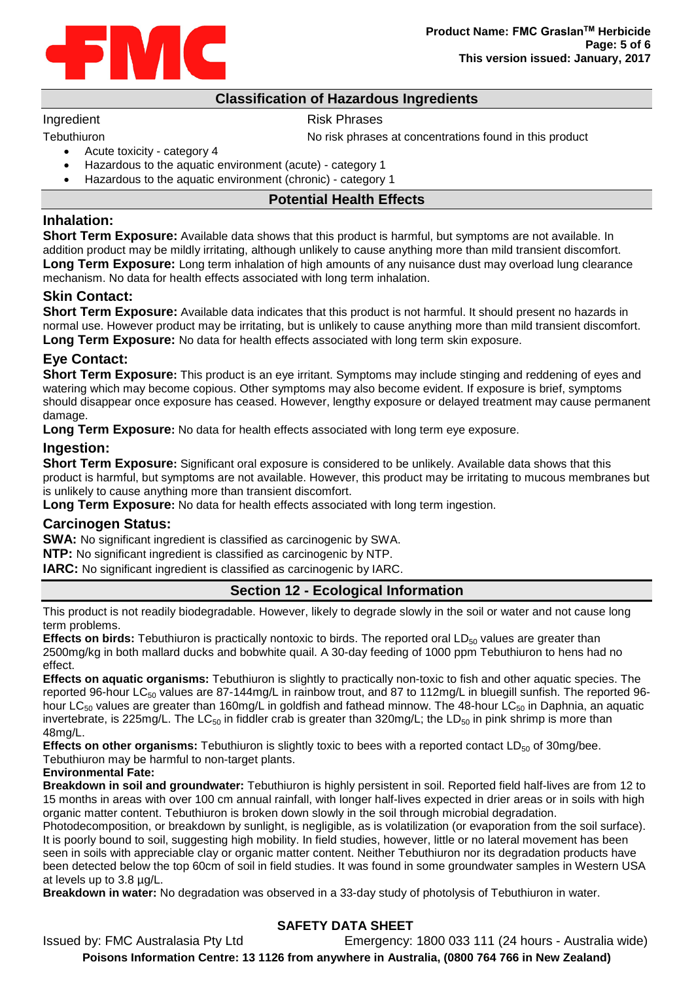

## **Classification of Hazardous Ingredients**

#### Ingredient **Risk Phrases**

Tebuthiuron Tebuthiuron No risk phrases at concentrations found in this product

- Acute toxicity category 4
- Hazardous to the aquatic environment (acute) category 1
- Hazardous to the aquatic environment (chronic) category 1

### **Potential Health Effects**

### **Inhalation:**

**Short Term Exposure:** Available data shows that this product is harmful, but symptoms are not available. In addition product may be mildly irritating, although unlikely to cause anything more than mild transient discomfort. **Long Term Exposure:** Long term inhalation of high amounts of any nuisance dust may overload lung clearance mechanism. No data for health effects associated with long term inhalation.

## **Skin Contact:**

**Short Term Exposure:** Available data indicates that this product is not harmful. It should present no hazards in normal use. However product may be irritating, but is unlikely to cause anything more than mild transient discomfort. **Long Term Exposure:** No data for health effects associated with long term skin exposure.

## **Eye Contact:**

**Short Term Exposure:** This product is an eye irritant. Symptoms may include stinging and reddening of eyes and watering which may become copious. Other symptoms may also become evident. If exposure is brief, symptoms should disappear once exposure has ceased. However, lengthy exposure or delayed treatment may cause permanent damage.

**Long Term Exposure:** No data for health effects associated with long term eye exposure.

## **Ingestion:**

**Short Term Exposure:** Significant oral exposure is considered to be unlikely. Available data shows that this product is harmful, but symptoms are not available. However, this product may be irritating to mucous membranes but is unlikely to cause anything more than transient discomfort.

**Long Term Exposure:** No data for health effects associated with long term ingestion.

## **Carcinogen Status:**

**SWA:** No significant ingredient is classified as carcinogenic by SWA.

**NTP:** No significant ingredient is classified as carcinogenic by NTP.

**IARC:** No significant ingredient is classified as carcinogenic by IARC.

## **Section 12 - Ecological Information**

This product is not readily biodegradable. However, likely to degrade slowly in the soil or water and not cause long term problems.

**Effects on birds:** Tebuthiuron is practically nontoxic to birds. The reported oral LD<sub>50</sub> values are greater than 2500mg/kg in both mallard ducks and bobwhite quail. A 30-day feeding of 1000 ppm Tebuthiuron to hens had no effect.

**Effects on aquatic organisms:** Tebuthiuron is slightly to practically non-toxic to fish and other aquatic species. The reported 96-hour LC<sub>50</sub> values are 87-144mg/L in rainbow trout, and 87 to 112mg/L in bluegill sunfish. The reported 96hour LC<sub>50</sub> values are greater than 160mg/L in goldfish and fathead minnow. The 48-hour LC<sub>50</sub> in Daphnia, an aquatic invertebrate, is 225mg/L. The LC<sub>50</sub> in fiddler crab is greater than 320mg/L; the LD<sub>50</sub> in pink shrimp is more than 48mg/L.

**Effects on other organisms:** Tebuthiuron is slightly toxic to bees with a reported contact  $LD_{50}$  of 30mg/bee. Tebuthiuron may be harmful to non-target plants.

#### **Environmental Fate:**

**Breakdown in soil and groundwater:** Tebuthiuron is highly persistent in soil. Reported field half-lives are from 12 to 15 months in areas with over 100 cm annual rainfall, with longer half-lives expected in drier areas or in soils with high organic matter content. Tebuthiuron is broken down slowly in the soil through microbial degradation.

Photodecomposition, or breakdown by sunlight, is negligible, as is volatilization (or evaporation from the soil surface). It is poorly bound to soil, suggesting high mobility. In field studies, however, little or no lateral movement has been seen in soils with appreciable clay or organic matter content. Neither Tebuthiuron nor its degradation products have been detected below the top 60cm of soil in field studies. It was found in some groundwater samples in Western USA at levels up to 3.8 µg/L.

**Breakdown in water:** No degradation was observed in a 33-day study of photolysis of Tebuthiuron in water.

## **SAFETY DATA SHEET**

Issued by: FMC Australasia Pty Ltd Emergency: 1800 033 111 (24 hours - Australia wide) **Poisons Information Centre: 13 1126 from anywhere in Australia, (0800 764 766 in New Zealand)**